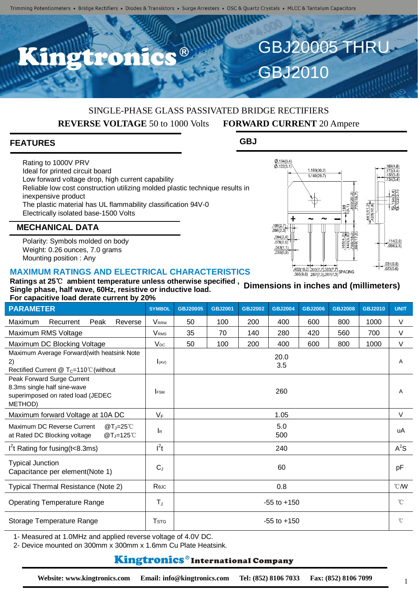C.C.B

#### SINGLE-PHASE GLASS PASSIVATED BRIDGE RECTIFIERS **REVERSE VOLTAGE** 50 to 1000 Volts **FORWARD CURRENT** 20 Ampere

#### **FEATURES**

Rating to 1000V PRV Ideal for printed circuit board Low forward voltage drop, high current capability Reliable low cost construction utilizing molded plastic technique results in inexpensive product The plastic material has UL flammability classification 94V-0 Electrically isolated base-1500 Volts

#### **MECHANICAL DATA**

Polarity: Symbols molded on body Weight: 0.26 ounces, 7.0 grams Mounting position : Any

#### **MAXIMUM RATINGS AND ELECTRICAL CHARACTERISTICS**

| For capacitive load derate current by 20%                                                                 |                           |                 |                |                |                |                |                |                |                |
|-----------------------------------------------------------------------------------------------------------|---------------------------|-----------------|----------------|----------------|----------------|----------------|----------------|----------------|----------------|
| <b>PARAMETER</b>                                                                                          | <b>SYMBOL</b>             | <b>GBJ20005</b> | <b>GBJ2001</b> | <b>GBJ2002</b> | <b>GBJ2004</b> | <b>GBJ2006</b> | <b>GBJ2008</b> | <b>GBJ2010</b> | <b>UNIT</b>    |
| Maximum<br>Peak<br>Reverse<br>Recurrent                                                                   | <b>VRRM</b>               | 50              | 100            | 200            | 400            | 600            | 800            | 1000           | V              |
| Maximum RMS Voltage                                                                                       | <b>V</b> <sub>RMS</sub>   | 35              | 70             | 140            | 280            | 420            | 560            | 700            | V              |
| Maximum DC Blocking Voltage                                                                               | $V_{DC}$                  | 50              | 100            | 200            | 400            | 600            | 800            | 1000           | V              |
| Maximum Average Forward(with heatsink Note<br>2)<br>Rectified Current $@T_c=110°C$ (without               | $\int (AV)$               |                 |                |                | 20.0<br>3.5    |                |                |                | A              |
| Peak Forward Surge Current<br>8.3ms single half sine-wave<br>superimposed on rated load (JEDEC<br>METHOD) | <b>IFSM</b>               |                 |                |                | 260            |                |                |                | A              |
| Maximum forward Voltage at 10A DC                                                                         | $V_F$                     | 1.05            |                |                |                |                |                |                | V              |
| Maximum DC Reverse Current<br>$@T_J=25^{\circ}$ C<br>$@T_J=125^{\circ}$ C<br>at Rated DC Blocking voltage | $\mathsf{I}_{\mathsf{R}}$ | 5.0<br>500      |                |                |                |                |                |                | uA             |
| $12$ t Rating for fusing (t<8.3ms)                                                                        | $l^2t$                    | 240             |                |                |                |                |                |                | $A^2S$         |
| <b>Typical Junction</b><br>Capacitance per element(Note 1)                                                | $C_{J}$                   | 60              |                |                |                |                |                |                | pF             |
| Typical Thermal Resistance (Note 2)                                                                       | Rejc                      | 0.8             |                |                |                |                |                |                | $^{\circ}$ CMV |
| <b>Operating Temperature Range</b>                                                                        | $T_{\text{J}}$            | $-55$ to $+150$ |                |                |                |                |                |                | $\hat{C}$      |
| Storage Temperature Range                                                                                 | <b>T</b> <sub>STG</sub>   | $-55$ to $+150$ |                |                |                |                |                | $^{\circ}$ C   |                |

1- Measured at 1.0MHz and applied reverse voltage of 4.0V DC.

2- Device mounted on 300mm x 300mm x 1.6mm Cu Plate Heatsink.

#### **Kingtronics**®International Company



 $096(2.3)$  $.094(2.4)$  $.078(2.0)$ 

 $\frac{.043(1.1)}{.035(0.9)}$ 

1

1.193(30.3) 1.169(29.7)

 $\log$ 

 $\frac{.114(2.9)}{.098(2.5)}$ 

 $\frac{441(1)}{425(1)}$ 

 $rac{1}{480}$ 

 $\frac{\emptyset.134(3.4)}{\emptyset.122(3.1)}$ 

4

GBJ2010

GBJ20005 THRU

**GBJ**